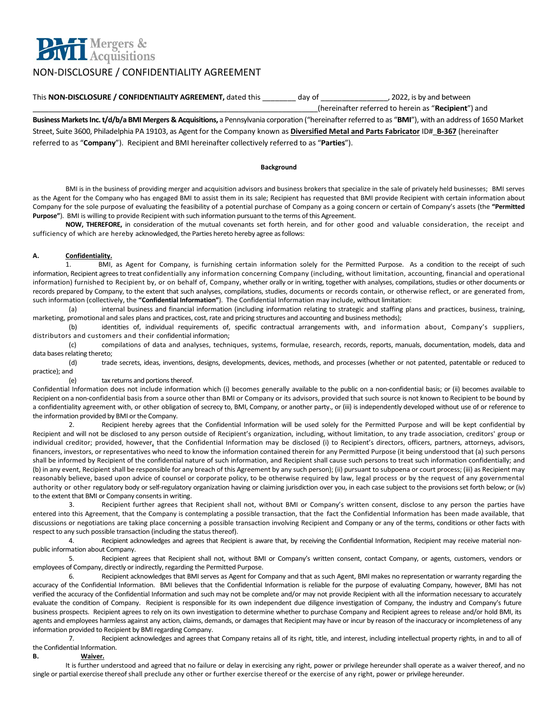

# NON-DISCLOSURE / CONFIDENTIALITY AGREEMENT

This **NON-DISCLOSURE / CONFIDENTIALITY AGREEMENT,** dated this day of  $(2022, 2022, 2022)$  as by and between \_\_\_\_\_\_\_\_\_\_\_\_\_\_\_\_\_\_\_\_\_\_\_\_\_\_\_\_\_\_\_\_\_\_\_\_\_\_\_\_\_\_\_\_\_\_\_\_\_\_\_\_\_\_\_\_\_\_\_\_\_\_\_\_\_\_\_\_\_\_\_\_(hereinafter referred to herein as "**Recipient**") and **Business Markets Inc. t/d/b/a BMI Mergers & Acquisitions,** a Pennsylvania corporation ("hereinafter referred to as "**BMI**"), with an address of 1650 Market Street, Suite 3600, Philadelphia PA 19103, as Agent for the Company known as **Diversified Metal and Parts Fabricator** ID#\_**B-367** (hereinafter referred to as "**Company**"). Recipient and BMI hereinafter collectively referred to as "**Parties**").

#### **Background**

BMI is in the business of providing merger and acquisition advisors and business brokers that specialize in the sale of privately held businesses; BMI serves as the Agent for the Company who has engaged BMI to assist them in its sale; Recipient has requested that BMI provide Recipient with certain information about Company for the sole purpose of evaluating the feasibility of a potential purchase of Company as a going concern or certain of Company's assets (the **"Permitted Purpose"**). BMI is willing to provide Recipient with such information pursuant to the terms of this Agreement.

**NOW, THEREFORE,** in consideration of the mutual covenants set forth herein, and for other good and valuable consideration, the receipt and sufficiency of which are hereby acknowledged, the Parties hereto hereby agree as follows:

# **A. Confidentiality.**

1. BMI, as Agent for Company, is furnishing certain information solely for the Permitted Purpose. As a condition to the receipt of such information, Recipient agrees to treat confidentially any information concerning Company (including, without limitation, accounting, financial and operational information) furnished to Recipient by, or on behalf of, Company, whether orally or in writing, together with analyses, compilations, studies or other documents or records prepared by Company, to the extent that such analyses, compilations, studies, documents or records contain, or otherwise reflect, or are generated from, such information (collectively, the **"Confidential Information"**). The Confidential Information may include, without limitation:

(a) internal business and financial information (including information relating to strategic and staffing plans and practices, business, training, marketing, promotional and sales plans and practices, cost, rate and pricing structures and accounting and business methods);

(b) identities of, individual requirements of, specific contractual arrangements with, and information about, Company's suppliers, distributors and customers and their confidential information;

(c) compilations of data and analyses, techniques, systems, formulae, research, records, reports, manuals, documentation, models, data and data bases relating thereto;

(d) trade secrets, ideas, inventions, designs, developments, devices, methods, and processes (whether or not patented, patentable or reduced to practice); and

## (e) tax returns and portions thereof.

Confidential Information does not include information which (i) becomes generally available to the public on a non-confidential basis; or (ii) becomes available to Recipient on a non-confidential basis from a source other than BMI or Company or its advisors, provided that such source is not known to Recipient to be bound by a confidentiality agreement with, or other obligation of secrecy to, BMI, Company, or another party., or (iii) is independently developed without use of or reference to the information provided by BMI or the Company.

2. Recipient hereby agrees that the Confidential Information will be used solely for the Permitted Purpose and will be kept confidential by Recipient and will not be disclosed to any person outside of Recipient's organization, including, without limitation, to any trade association, creditors' group or individual creditor; provided, however, that the Confidential Information may be disclosed (i) to Recipient's directors, officers, partners, attorneys, advisors, financers, investors, or representatives who need to know the information contained therein for any Permitted Purpose (it being understood that (a) such persons shall be informed by Recipient of the confidential nature of such information, and Recipient shall cause such persons to treat such information confidentially; and (b) in any event, Recipient shall be responsible for any breach of this Agreement by any such person); (ii) pursuant to subpoena or court process; (iii) as Recipient may reasonably believe, based upon advice of counsel or corporate policy, to be otherwise required by law, legal process or by the request of any governmental authority or other regulatory body or self-regulatory organization having or claiming jurisdiction over you, in each case subject to the provisions set forth below; or (iv) to the extent that BMI or Company consents in writing.

3. Recipient further agrees that Recipient shall not, without BMI or Company's written consent, disclose to any person the parties have entered into this Agreement, that the Company is contemplating a possible transaction, that the fact the Confidential Information has been made available, that discussions or negotiations are taking place concerning a possible transaction involving Recipient and Company or any of the terms, conditions or other facts with respect to any such possible transaction (including the status thereof).

4. Recipient acknowledges and agrees that Recipient is aware that, by receiving the Confidential Information, Recipient may receive material nonpublic information about Company.

5. Recipient agrees that Recipient shall not, without BMI or Company's written consent, contact Company, or agents, customers, vendors or employees of Company, directly or indirectly, regarding the Permitted Purpose.

6. Recipient acknowledges that BMI serves as Agent for Company and that as such Agent, BMI makes no representation or warranty regarding the accuracy of the Confidential Information. BMI believes that the Confidential Information is reliable for the purpose of evaluating Company, however, BMI has not verified the accuracy of the Confidential Information and such may not be complete and/or may not provide Recipient with all the information necessary to accurately evaluate the condition of Company. Recipient is responsible for its own independent due diligence investigation of Company, the industry and Company's future business prospects. Recipient agrees to rely on its own investigation to determine whether to purchase Company and Recipient agrees to release and/or hold BMI, its agents and employees harmless against any action, claims, demands, or damages that Recipient may have or incur by reason of the inaccuracy or incompleteness of any information provided to Recipient by BMI regarding Company.

Recipient acknowledges and agrees that Company retains all of its right, title, and interest, including intellectual property rights, in and to all of the Confidential Information.

# **B. Waiver.**

It is further understood and agreed that no failure or delay in exercising any right, power or privilege hereunder shall operate as a waiver thereof, and no single or partial exercise thereof shall preclude any other or further exercise thereof or the exercise of any right, power or privilege hereunder.